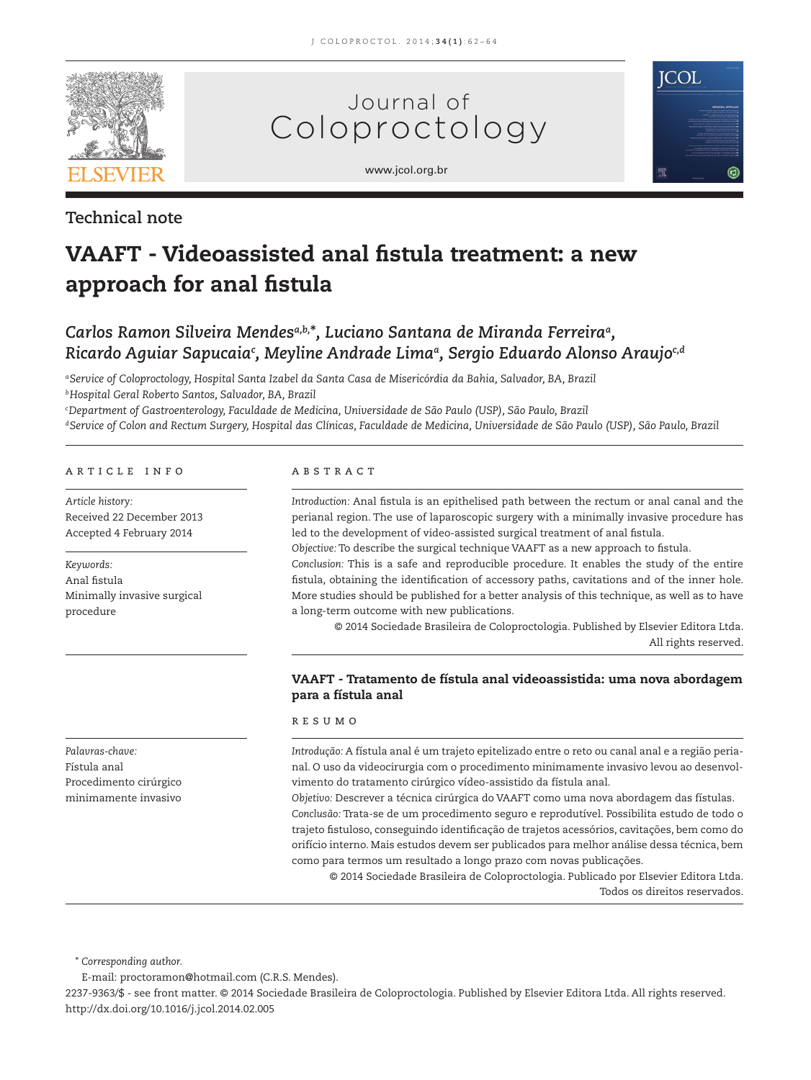

# Journal of Coloproctology





# **Technical note**

# **VAAFT - Videoassisted anal fistula treatment: a new** approach for anal fistula

# *Carlos Ramon Silveira Mendesa,b,***\****, Luciano Santana de Miranda Ferreiraa,*  Ricardo Aguiar Sapucaia<sup>c</sup>, Meyline Andrade Limaª, Sergio Eduardo Alonso Araujo<sup>c,d</sup>

*a Service of Coloproctology, Hospital Santa Izabel da Santa Casa de Misericórdia da Bahia, Salvador, BA, Brazil b Hospital Geral Roberto Santos, Salvador, BA, Brazil*

*c Department of Gastroenterology, Faculdade de Medicina, Universidade de São Paulo (USP), São Paulo, Brazil d Service of Colon and Rectum Surgery, Hospital das Clínicas, Faculdade de Medicina, Universidade de São Paulo (USP), São Paulo, Brazil*

#### article info

*Article history:* Received 22 December 2013 Accepted 4 February 2014

*Keywords:* Anal fistula Minimally invasive surgical procedure

*Palavras-chave:* Fístula anal Procedimento cirúrgico minimamente invasivo

#### abstract

Introduction: Anal fistula is an epithelised path between the rectum or anal canal and the perianal region. The use of laparoscopic surgery with a minimally invasive procedure has led to the development of video-assisted surgical treatment of anal fistula.

*Objective:* To describe the surgical technique VAAFT as a new approach to fistula.

*Conclusion:* This is a safe and reproducible procedure. It enables the study of the entire fistula, obtaining the identification of accessory paths, cavitations and of the inner hole. More studies should be published for a better analysis of this technique, as well as to have a long-term outcome with new publications.

© 2014 Sociedade Brasileira de Coloproctologia. Published by Elsevier Editora Ltda. All rights reserved.

# **VAAFT - Tratamento de fístula anal videoassistida: uma nova abordagem para a fístula anal**

#### resumo

*Introdução:* A fístula anal é um trajeto epitelizado entre o reto ou canal anal e a região perianal. O uso da videocirurgia com o procedimento minimamente invasivo levou ao desenvolvimento do tratamento cirúrgico vídeo-assistido da fístula anal.

*Objetivo:* Descrever a técnica cirúrgica do VAAFT como uma nova abordagem das fístulas. *Conclusão:* Trata-se de um procedimento seguro e reprodutível. Possibilita estudo de todo o trajeto fistuloso, conseguindo identificação de trajetos acessórios, cavitações, bem como do orifício interno. Mais estudos devem ser publicados para melhor análise dessa técnica, bem como para termos um resultado a longo prazo com novas publicações.

© 2014 Sociedade Brasileira de Coloproctologia. Publicado por Elsevier Editora Ltda. Todos os direitos reservados.

*\* Corresponding author.*

E-mail: proctoramon@hotmail.com (C.R.S. Mendes).

2237-9363/\$ - see front matter. © 2014 Sociedade Brasileira de Coloproctologia. Published by Elsevier Editora Ltda. All rights reserved. http://dx.doi.org/10.1016/j.jcol.2014.02.005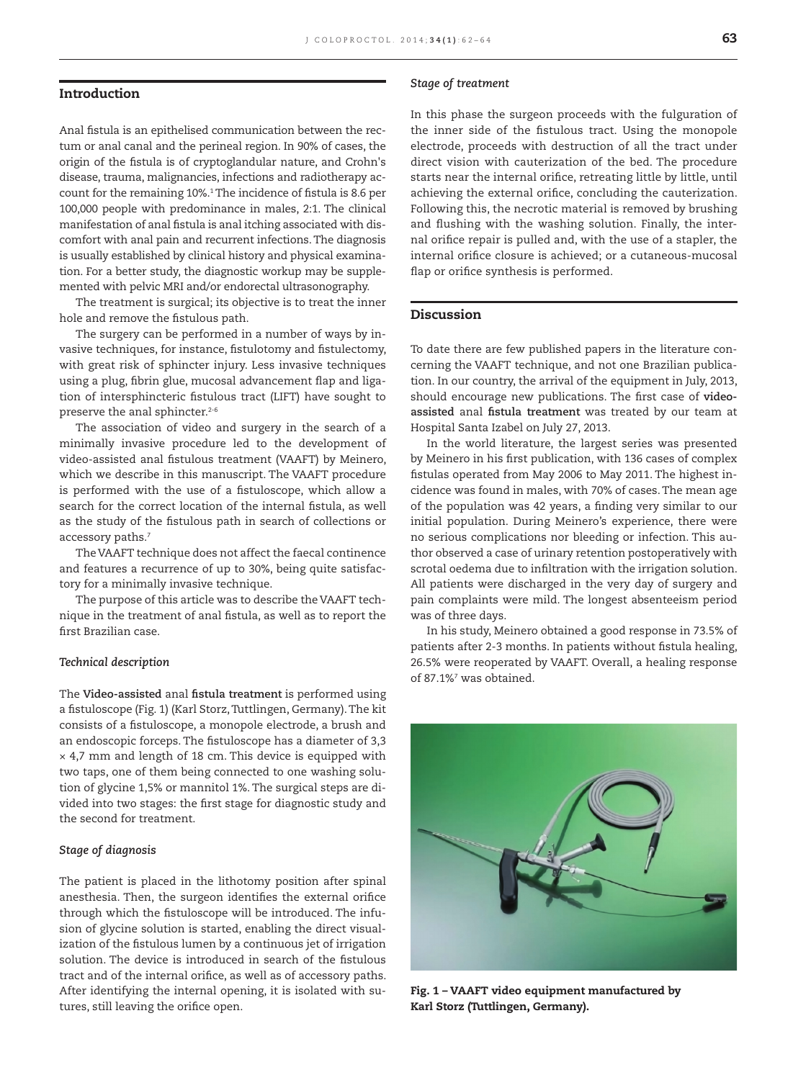### **Introduction**

Anal fistula is an epithelised communication between the rectum or anal canal and the perineal region. In 90% of cases, the origin of the fistula is of cryptoglandular nature, and Crohn's disease, trauma, malignancies, infections and radiotherapy account for the remaining 10%.<sup>1</sup> The incidence of fistula is 8.6 per 100,000 people with predominance in males, 2:1. The clinical manifestation of anal fistula is anal itching associated with discomfort with anal pain and recurrent infections. The diagnosis is usually established by clinical history and physical examination. For a better study, the diagnostic workup may be supplemented with pelvic MRI and/or endorectal ultrasonography.

The treatment is surgical; its objective is to treat the inner hole and remove the fistulous path.

The surgery can be performed in a number of ways by invasive techniques, for instance, fistulotomy and fistulectomy, with great risk of sphincter injury. Less invasive techniques using a plug, fibrin glue, mucosal advancement flap and ligation of intersphincteric fistulous tract (LIFT) have sought to preserve the anal sphincter.<sup>2-6</sup>

The association of video and surgery in the search of a minimally invasive procedure led to the development of video-assisted anal fistulous treatment (VAAFT) by Meinero, which we describe in this manuscript. The VAAFT procedure is performed with the use of a fistuloscope, which allow a search for the correct location of the internal fistula, as well as the study of the fistulous path in search of collections or accessory paths.<sup>7</sup>

The VAAFT technique does not affect the faecal continence and features a recurrence of up to 30%, being quite satisfactory for a minimally invasive technique.

The purpose of this article was to describe the VAAFT technique in the treatment of anal fistula, as well as to report the first Brazilian case.

#### *Technical description*

The Video-assisted anal fistula treatment is performed using a fistuloscope (Fig. 1) (Karl Storz, Tuttlingen, Germany). The kit consists of a fistuloscope, a monopole electrode, a brush and an endoscopic forceps. The fistuloscope has a diameter of 3,3 × 4,7 mm and length of 18 cm. This device is equipped with two taps, one of them being connected to one washing solution of glycine 1,5% or mannitol 1%. The surgical steps are divided into two stages: the first stage for diagnostic study and the second for treatment.

#### *Stage of diagnosis*

The patient is placed in the lithotomy position after spinal anesthesia. Then, the surgeon identifies the external orifice through which the fistuloscope will be introduced. The infusion of glycine solution is started, enabling the direct visualization of the fistulous lumen by a continuous jet of irrigation solution. The device is introduced in search of the fistulous tract and of the internal orifice, as well as of accessory paths. After identifying the internal opening, it is isolated with sutures, still leaving the orifice open.

#### *Stage of treatment*

In this phase the surgeon proceeds with the fulguration of the inner side of the fistulous tract. Using the monopole electrode, proceeds with destruction of all the tract under direct vision with cauterization of the bed. The procedure starts near the internal orifice, retreating little by little, until achieving the external orifice, concluding the cauterization. Following this, the necrotic material is removed by brushing and flushing with the washing solution. Finally, the internal orifice repair is pulled and, with the use of a stapler, the internal orifice closure is achieved; or a cutaneous-mucosal flap or orifice synthesis is performed.

# **Discussion**

To date there are few published papers in the literature concerning the VAAFT technique, and not one Brazilian publication. In our country, the arrival of the equipment in July, 2013, should encourage new publications. The first case of videoassisted anal fistula treatment was treated by our team at Hospital Santa Izabel on July 27, 2013.

In the world literature, the largest series was presented by Meinero in his first publication, with 136 cases of complex fistulas operated from May 2006 to May 2011. The highest incidence was found in males, with 70% of cases. The mean age of the population was 42 years, a finding very similar to our initial population. During Meinero's experience, there were no serious complications nor bleeding or infection. This author observed a case of urinary retention postoperatively with scrotal oedema due to infiltration with the irrigation solution. All patients were discharged in the very day of surgery and pain complaints were mild. The longest absenteeism period was of three days.

In his study, Meinero obtained a good response in 73.5% of patients after 2-3 months. In patients without fistula healing, 26.5% were reoperated by VAAFT. Overall, a healing response of 87.1%<sup>7</sup> was obtained.



**Fig. 1 – VAAFT video equipment manufactured by Karl Storz (Tuttlingen, Germany).**